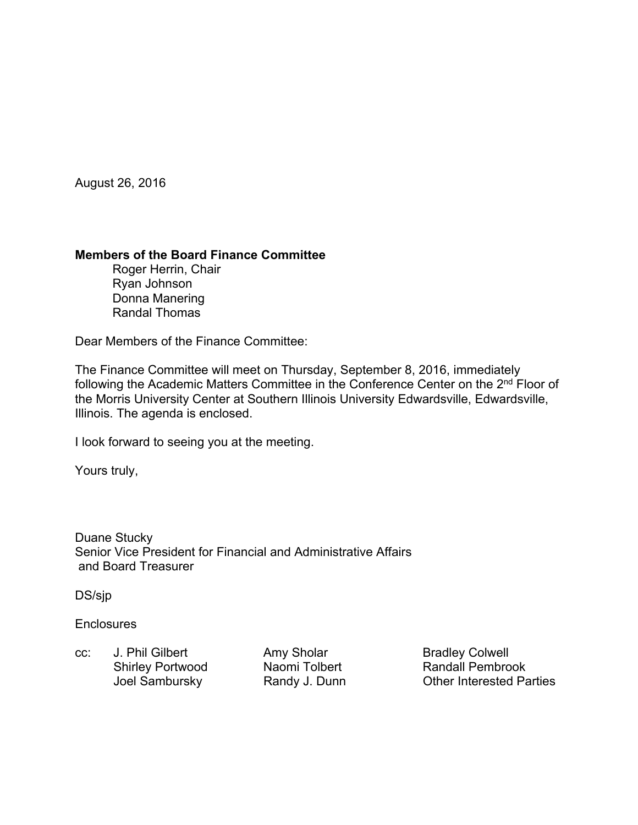August 26, 2016

## **Members of the Board Finance Committee**

 Roger Herrin, Chair Ryan Johnson Donna Manering Randal Thomas

Dear Members of the Finance Committee:

The Finance Committee will meet on Thursday, September 8, 2016, immediately following the Academic Matters Committee in the Conference Center on the 2nd Floor of the Morris University Center at Southern Illinois University Edwardsville, Edwardsville, Illinois. The agenda is enclosed.

I look forward to seeing you at the meeting.

Yours truly,

Duane Stucky Senior Vice President for Financial and Administrative Affairs and Board Treasurer

DS/sjp

**Enclosures** 

cc: J. Phil Gilbert **Amy Sholar** Amy Sholar Bradley Colwell

Shirley Portwood Naomi Tolbert Randall Pembrook Joel Sambursky **Randy J. Dunn** Other Interested Parties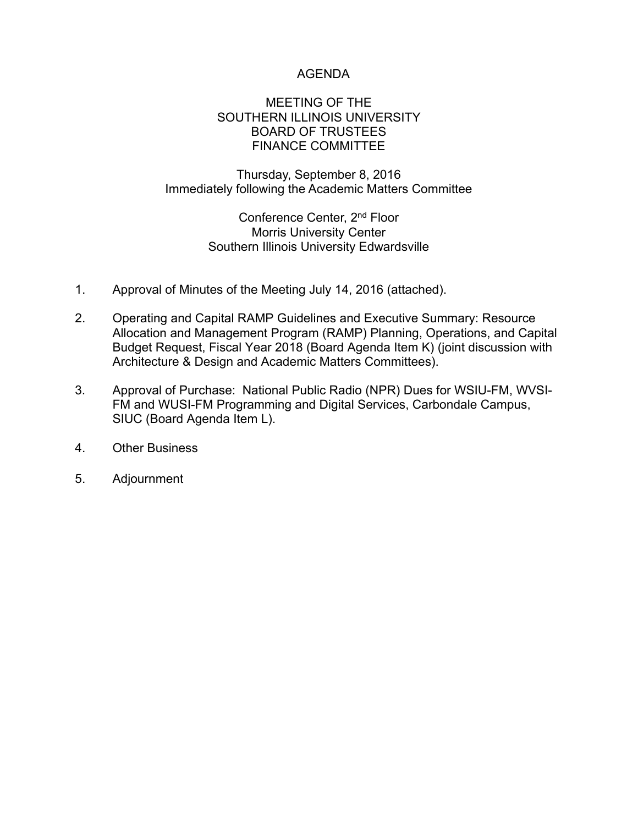# AGENDA

#### MEETING OF THE SOUTHERN ILLINOIS UNIVERSITY BOARD OF TRUSTEES FINANCE COMMITTEE

# Thursday, September 8, 2016 Immediately following the Academic Matters Committee

Conference Center, 2nd Floor Morris University Center Southern Illinois University Edwardsville

- 1. Approval of Minutes of the Meeting July 14, 2016 (attached).
- 2. Operating and Capital RAMP Guidelines and Executive Summary: Resource Allocation and Management Program (RAMP) Planning, Operations, and Capital Budget Request, Fiscal Year 2018 (Board Agenda Item K) (joint discussion with Architecture & Design and Academic Matters Committees).
- 3. Approval of Purchase: National Public Radio (NPR) Dues for WSIU-FM, WVSI-FM and WUSI-FM Programming and Digital Services, Carbondale Campus, SIUC (Board Agenda Item L).
- 4. Other Business
- 5. Adjournment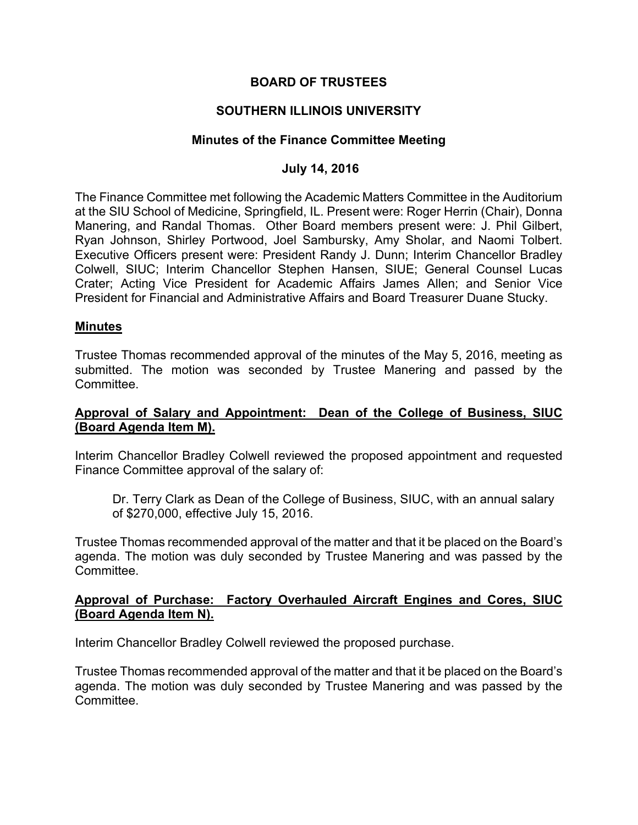# **BOARD OF TRUSTEES**

# **SOUTHERN ILLINOIS UNIVERSITY**

#### **Minutes of the Finance Committee Meeting**

#### **July 14, 2016**

The Finance Committee met following the Academic Matters Committee in the Auditorium at the SIU School of Medicine, Springfield, IL. Present were: Roger Herrin (Chair), Donna Manering, and Randal Thomas. Other Board members present were: J. Phil Gilbert, Ryan Johnson, Shirley Portwood, Joel Sambursky, Amy Sholar, and Naomi Tolbert. Executive Officers present were: President Randy J. Dunn; Interim Chancellor Bradley Colwell, SIUC; Interim Chancellor Stephen Hansen, SIUE; General Counsel Lucas Crater; Acting Vice President for Academic Affairs James Allen; and Senior Vice President for Financial and Administrative Affairs and Board Treasurer Duane Stucky.

#### **Minutes**

Trustee Thomas recommended approval of the minutes of the May 5, 2016, meeting as submitted. The motion was seconded by Trustee Manering and passed by the Committee.

### **Approval of Salary and Appointment: Dean of the College of Business, SIUC (Board Agenda Item M).**

Interim Chancellor Bradley Colwell reviewed the proposed appointment and requested Finance Committee approval of the salary of:

 Dr. Terry Clark as Dean of the College of Business, SIUC, with an annual salary of \$270,000, effective July 15, 2016.

Trustee Thomas recommended approval of the matter and that it be placed on the Board's agenda. The motion was duly seconded by Trustee Manering and was passed by the Committee.

## **Approval of Purchase: Factory Overhauled Aircraft Engines and Cores, SIUC (Board Agenda Item N).**

Interim Chancellor Bradley Colwell reviewed the proposed purchase.

Trustee Thomas recommended approval of the matter and that it be placed on the Board's agenda. The motion was duly seconded by Trustee Manering and was passed by the Committee.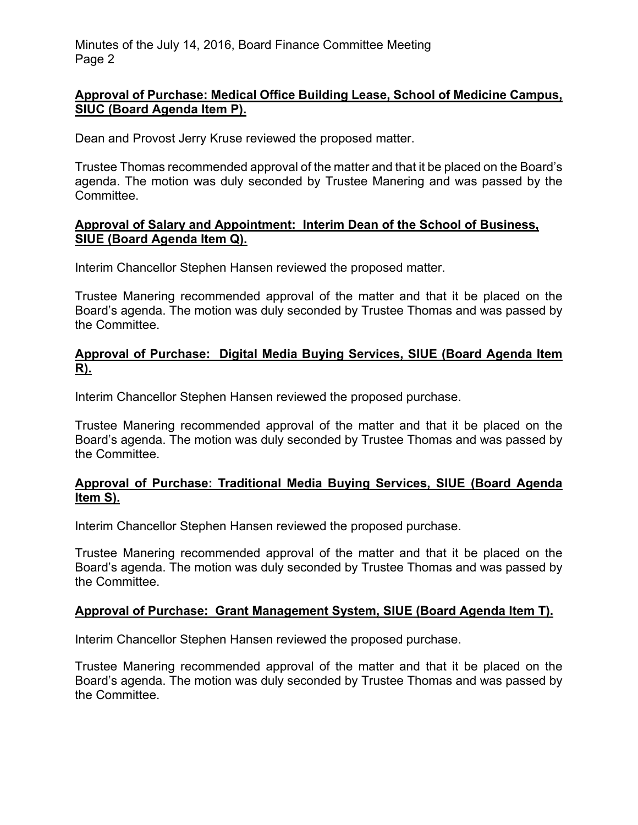Minutes of the July 14, 2016, Board Finance Committee Meeting Page 2

## **Approval of Purchase: Medical Office Building Lease, School of Medicine Campus, SIUC (Board Agenda Item P).**

Dean and Provost Jerry Kruse reviewed the proposed matter.

Trustee Thomas recommended approval of the matter and that it be placed on the Board's agenda. The motion was duly seconded by Trustee Manering and was passed by the Committee.

#### **Approval of Salary and Appointment: Interim Dean of the School of Business, SIUE (Board Agenda Item Q).**

Interim Chancellor Stephen Hansen reviewed the proposed matter.

Trustee Manering recommended approval of the matter and that it be placed on the Board's agenda. The motion was duly seconded by Trustee Thomas and was passed by the Committee.

# **Approval of Purchase: Digital Media Buying Services, SIUE (Board Agenda Item R).**

Interim Chancellor Stephen Hansen reviewed the proposed purchase.

Trustee Manering recommended approval of the matter and that it be placed on the Board's agenda. The motion was duly seconded by Trustee Thomas and was passed by the Committee.

# **Approval of Purchase: Traditional Media Buying Services, SIUE (Board Agenda Item S).**

Interim Chancellor Stephen Hansen reviewed the proposed purchase.

Trustee Manering recommended approval of the matter and that it be placed on the Board's agenda. The motion was duly seconded by Trustee Thomas and was passed by the Committee.

## **Approval of Purchase: Grant Management System, SIUE (Board Agenda Item T).**

Interim Chancellor Stephen Hansen reviewed the proposed purchase.

Trustee Manering recommended approval of the matter and that it be placed on the Board's agenda. The motion was duly seconded by Trustee Thomas and was passed by the Committee.